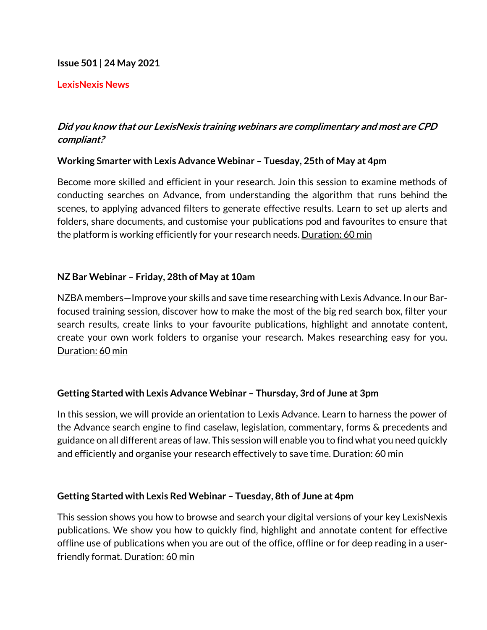### **Issue 501 | 24 May 2021**

### **LexisNexis News**

# **Did you know that our LexisNexis training webinars are complimentary and most are CPD compliant?**

### **Working Smarter with Lexis Advance Webinar – Tuesday, 25th of May at 4pm**

Become more skilled and efficient in your research. Join this session to examine methods of conducting searches on Advance, from understanding the algorithm that runs behind the scenes, to applying advanced filters to generate effective results. Learn to set up alerts and folders, share documents, and customise your publications pod and favourites to ensure that the platform is working efficiently for your research needs. Duration: 60 min

# **NZ Bar Webinar – Friday, 28th of May at 10am**

NZBA members—Improve your skills and save time researching with Lexis Advance. In our Barfocused training session, discover how to make the most of the big red search box, filter your search results, create links to your favourite publications, highlight and annotate content, create your own work folders to organise your research. Makes researching easy for you. Duration: 60 min

# **Getting Started with Lexis Advance Webinar – Thursday, 3rd of June at 3pm**

In this session, we will provide an orientation to Lexis Advance. Learn to harness the power of the Advance search engine to find caselaw, legislation, commentary, forms & precedents and guidance on all different areas of law. This session will enable you to find what you need quickly and efficiently and organise your research effectively to save time. Duration: 60 min

#### **Getting Started with Lexis Red Webinar – Tuesday, 8th of June at 4pm**

This session shows you how to browse and search your digital versions of your key LexisNexis publications. We show you how to quickly find, highlight and annotate content for effective offline use of publications when you are out of the office, offline or for deep reading in a userfriendly format. Duration: 60 min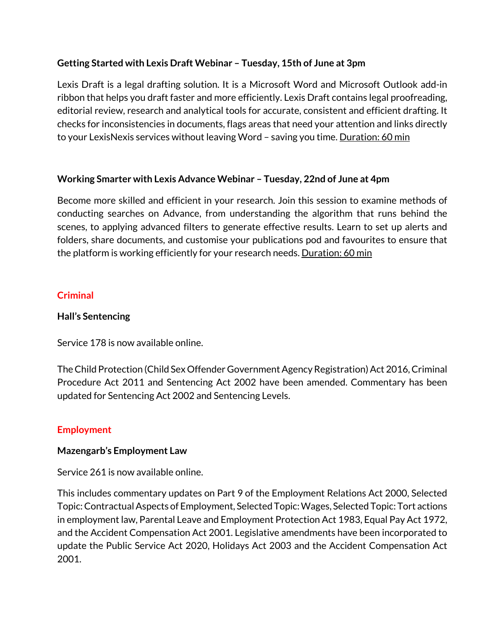# **Getting Started with Lexis Draft Webinar – Tuesday, 15th of June at 3pm**

Lexis Draft is a legal drafting solution. It is a Microsoft Word and Microsoft Outlook add-in ribbon that helps you draft faster and more efficiently. Lexis Draft contains legal proofreading, editorial review, research and analytical tools for accurate, consistent and efficient drafting. It checks for inconsistencies in documents, flags areas that need your attention and links directly to your LexisNexis services without leaving Word – saving you time. <u>Duration: 60 min</u>

# **Working Smarter with Lexis Advance Webinar – Tuesday, 22nd of June at 4pm**

Become more skilled and efficient in your research. Join this session to examine methods of conducting searches on Advance, from understanding the algorithm that runs behind the scenes, to applying advanced filters to generate effective results. Learn to set up alerts and folders, share documents, and customise your publications pod and favourites to ensure that the platform is working efficiently for your research needs. Duration: 60 min

# **Criminal**

### **Hall's Sentencing**

Service 178 is now available online.

The Child Protection (Child Sex Offender Government Agency Registration) Act 2016, Criminal Procedure Act 2011 and Sentencing Act 2002 have been amended. Commentary has been updated for Sentencing Act 2002 and Sentencing Levels.

# **Employment**

#### **Mazengarb's Employment Law**

Service 261 is now available online.

This includes commentary updates on Part 9 of the Employment Relations Act 2000, Selected Topic: Contractual Aspects of Employment, Selected Topic: Wages, Selected Topic: Tort actions in employment law, Parental Leave and Employment Protection Act 1983, Equal Pay Act 1972, and the Accident Compensation Act 2001. Legislative amendments have been incorporated to update the Public Service Act 2020, Holidays Act 2003 and the Accident Compensation Act 2001.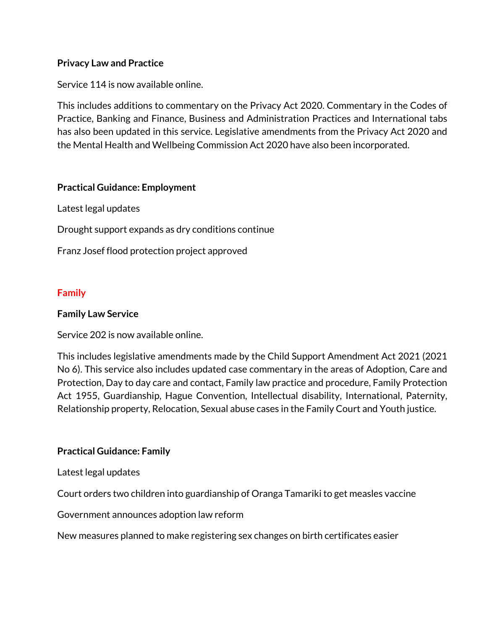# **Privacy Law and Practice**

Service 114 is now available online.

This includes additions to commentary on the Privacy Act 2020. Commentary in the Codes of Practice, Banking and Finance, Business and Administration Practices and International tabs has also been updated in this service. Legislative amendments from the Privacy Act 2020 and the Mental Health and Wellbeing Commission Act 2020 have also been incorporated.

### **Practical Guidance: Employment**

Latest legal updates

Drought support expands as dry conditions continue

Franz Josef flood protection project approved

# **Family**

### **Family Law Service**

Service 202 is now available online.

This includes legislative amendments made by the Child Support Amendment Act 2021 (2021 No 6). This service also includes updated case commentary in the areas of Adoption, Care and Protection, Day to day care and contact, Family law practice and procedure, Family Protection Act 1955, Guardianship, Hague Convention, Intellectual disability, International, Paternity, Relationship property, Relocation, Sexual abuse cases in the Family Court and Youth justice.

# **Practical Guidance: Family**

Latest legal updates

Court orders two children into guardianship of Oranga Tamariki to get measles vaccine

Government announces adoption law reform

New measures planned to make registering sex changes on birth certificates easier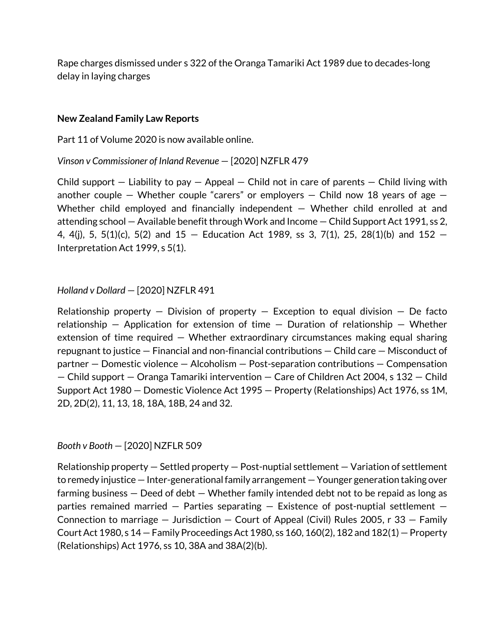Rape charges dismissed under s 322 of the Oranga Tamariki Act 1989 due to decades-long delay in laying charges

#### **New Zealand Family Law Reports**

Part 11 of Volume 2020 is now available online.

*Vinson v Commissioner of Inland Revenue* — [2020] NZFLR 479

Child support  $-$  Liability to pay  $-$  Appeal  $-$  Child not in care of parents  $-$  Child living with another couple – Whether couple "carers" or employers – Child now 18 years of age  $-$ Whether child employed and financially independent – Whether child enrolled at and attending school — Available benefit through Work and Income — Child Support Act 1991, ss 2, 4, 4(j), 5, 5(1)(c), 5(2) and 15 — Education Act 1989, ss 3, 7(1), 25, 28(1)(b) and 152 — Interpretation Act 1999, s 5(1).

# *Holland v Dollard* — [2020] NZFLR 491

Relationship property  $-$  Division of property  $-$  Exception to equal division  $-$  De facto relationship – Application for extension of time – Duration of relationship – Whether extension of time required — Whether extraordinary circumstances making equal sharing repugnant to justice — Financial and non-financial contributions — Child care — Misconduct of partner — Domestic violence — Alcoholism — Post-separation contributions — Compensation — Child support — Oranga Tamariki intervention — Care of Children Act 2004, s 132 — Child Support Act 1980 — Domestic Violence Act 1995 — Property (Relationships) Act 1976, ss 1M, 2D, 2D(2), 11, 13, 18, 18A, 18B, 24 and 32.

#### *Booth v Booth* — [2020] NZFLR 509

Relationship property — Settled property — Post-nuptial settlement — Variation of settlement to remedy injustice — Inter-generational family arrangement — Younger generation taking over farming business — Deed of debt — Whether family intended debt not to be repaid as long as parties remained married  $-$  Parties separating  $-$  Existence of post-nuptial settlement  $-$ Connection to marriage  $-$  Jurisdiction  $-$  Court of Appeal (Civil) Rules 2005, r 33  $-$  Family Court Act 1980, s 14 — Family Proceedings Act 1980, ss 160, 160(2), 182 and 182(1) — Property (Relationships) Act 1976, ss 10, 38A and 38A(2)(b).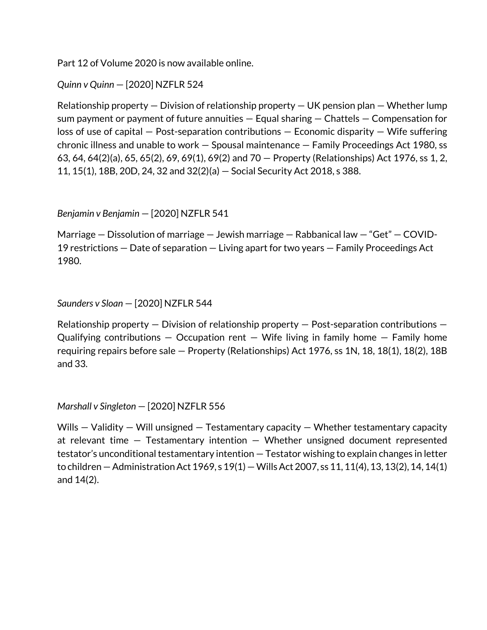Part 12 of Volume 2020 is now available online.

*Quinn v Quinn* — [2020] NZFLR 524

Relationship property — Division of relationship property — UK pension plan — Whether lump sum payment or payment of future annuities  $-$  Equal sharing  $-$  Chattels  $-$  Compensation for  $loss$  of use of capital  $-$  Post-separation contributions  $-$  Economic disparity  $-$  Wife suffering chronic illness and unable to work — Spousal maintenance — Family Proceedings Act 1980, ss 63, 64, 64(2)(a), 65, 65(2), 69, 69(1), 69(2) and 70 — Property (Relationships) Act 1976, ss 1, 2, 11, 15(1), 18B, 20D, 24, 32 and 32(2)(a) — Social Security Act 2018, s 388.

*Benjamin v Benjamin* — [2020] NZFLR 541

Marriage — Dissolution of marriage — Jewish marriage — Rabbanical law — "Get" — COVID-19 restrictions — Date of separation — Living apart for two years — Family Proceedings Act 1980.

*Saunders v Sloan* — [2020] NZFLR 544

Relationship property — Division of relationship property — Post-separation contributions — Qualifying contributions  $-$  Occupation rent  $-$  Wife living in family home  $-$  Family home requiring repairs before sale — Property (Relationships) Act 1976, ss 1N, 18, 18(1), 18(2), 18B and 33.

*Marshall v Singleton* — [2020] NZFLR 556

Wills  $-$  Validity  $-$  Will unsigned  $-$  Testamentary capacity  $-$  Whether testamentary capacity at relevant time — Testamentary intention — Whether unsigned document represented testator's unconditional testamentary intention — Testator wishing to explain changes in letter to children — Administration Act 1969, s 19(1) —Wills Act 2007, ss 11, 11(4), 13, 13(2), 14, 14(1) and 14(2).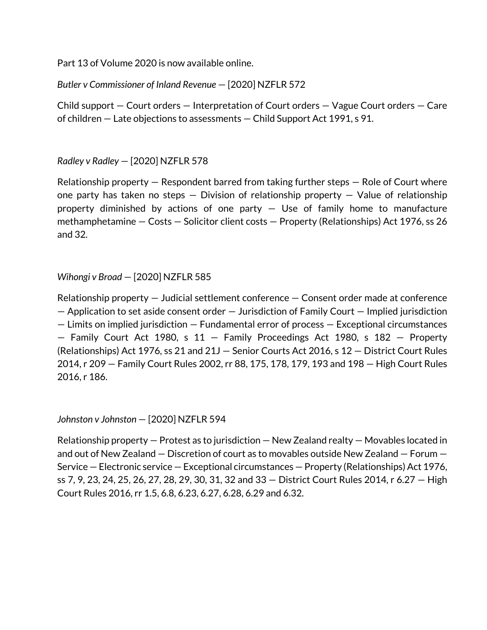Part 13 of Volume 2020 is now available online.

*Butler v Commissioner of Inland Revenue* — [2020] NZFLR 572

Child support — Court orders — Interpretation of Court orders — Vague Court orders — Care of children — Late objections to assessments — Child Support Act 1991, s 91.

# *Radley v Radley* — [2020] NZFLR 578

Relationship property — Respondent barred from taking further steps — Role of Court where one party has taken no steps  $-$  Division of relationship property  $-$  Value of relationship property diminished by actions of one party  $-$  Use of family home to manufacture methamphetamine — Costs — Solicitor client costs — Property (Relationships) Act 1976, ss 26 and 32.

# *Wihongi v Broad* — [2020] NZFLR 585

Relationship property — Judicial settlement conference — Consent order made at conference — Application to set aside consent order — Jurisdiction of Family Court — Implied jurisdiction — Limits on implied jurisdiction — Fundamental error of process — Exceptional circumstances — Family Court Act 1980, s 11 — Family Proceedings Act 1980, s 182 — Property (Relationships) Act 1976, ss 21 and 21J — Senior Courts Act 2016, s 12 — District Court Rules 2014, r 209 — Family Court Rules 2002, rr 88, 175, 178, 179, 193 and 198 — High Court Rules 2016, r 186.

*Johnston v Johnston* — [2020] NZFLR 594

Relationship property — Protest as to jurisdiction — New Zealand realty — Movables located in and out of New Zealand — Discretion of court as to movables outside New Zealand — Forum — Service — Electronic service — Exceptional circumstances — Property (Relationships) Act 1976, ss 7, 9, 23, 24, 25, 26, 27, 28, 29, 30, 31, 32 and 33 — District Court Rules 2014, r 6.27 — High Court Rules 2016, rr 1.5, 6.8, 6.23, 6.27, 6.28, 6.29 and 6.32.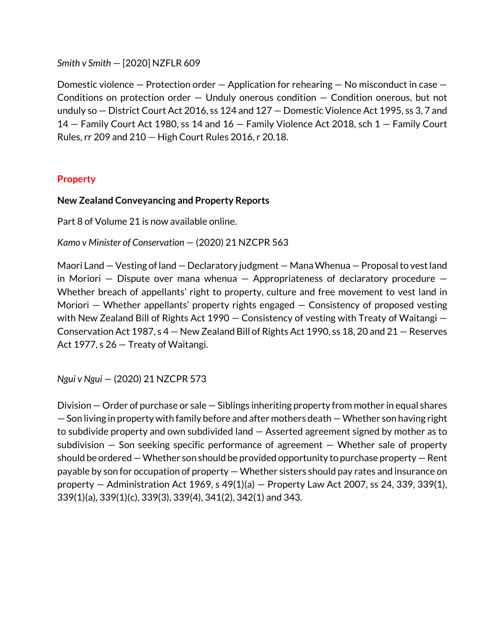*Smith v Smith* — [2020] NZFLR 609

Domestic violence — Protection order — Application for rehearing — No misconduct in case — Conditions on protection order  $-$  Unduly onerous condition  $-$  Condition onerous, but not unduly so — District Court Act 2016, ss 124 and 127 — Domestic Violence Act 1995, ss 3, 7 and 14 — Family Court Act 1980, ss 14 and 16 — Family Violence Act 2018, sch 1 — Family Court Rules, rr 209 and 210 — High Court Rules 2016, r 20.18.

# **Property**

### **New Zealand Conveyancing and Property Reports**

Part 8 of Volume 21 is now available online.

*Kamo v Minister of Conservation* — (2020) 21 NZCPR 563

Maori Land — Vesting of land — Declaratory judgment — Mana Whenua — Proposal to vest land in Moriori  $-$  Dispute over mana whenua  $-$  Appropriateness of declaratory procedure  $-$ Whether breach of appellants' right to property, culture and free movement to vest land in Moriori  $-$  Whether appellants' property rights engaged  $-$  Consistency of proposed vesting with New Zealand Bill of Rights Act 1990 — Consistency of vesting with Treaty of Waitangi — Conservation Act 1987, s 4 — New Zealand Bill of Rights Act 1990, ss 18, 20 and 21 — Reserves Act 1977, s 26 — Treaty of Waitangi.

*Ngui v Ngui* — (2020) 21 NZCPR 573

Division — Order of purchase or sale — Siblings inheriting property from mother in equal shares — Son living in property with family before and after mothers death —Whether son having right to subdivide property and own subdivided land — Asserted agreement signed by mother as to subdivision  $-$  Son seeking specific performance of agreement  $-$  Whether sale of property should be ordered —Whether son should be provided opportunity to purchase property — Rent payable by son for occupation of property — Whether sisters should pay rates and insurance on property — Administration Act 1969, s 49(1)(a) — Property Law Act 2007, ss 24, 339, 339(1), 339(1)(a), 339(1)(c), 339(3), 339(4), 341(2), 342(1) and 343.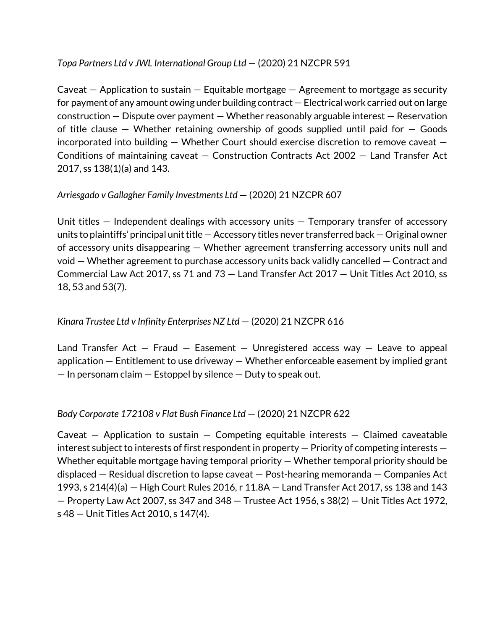# *Topa Partners Ltd v JWL International Group Ltd* — (2020) 21 NZCPR 591

Caveat  $-$  Application to sustain  $-$  Equitable mortgage  $-$  Agreement to mortgage as security for payment of any amount owing under building contract — Electrical work carried out on large construction — Dispute over payment — Whether reasonably arguable interest — Reservation of title clause – Whether retaining ownership of goods supplied until paid for  $-$  Goods incorporated into building  $-$  Whether Court should exercise discretion to remove caveat  $-$ Conditions of maintaining caveat — Construction Contracts Act 2002 — Land Transfer Act 2017, ss 138(1)(a) and 143.

# *Arriesgado v Gallagher Family Investments Ltd* — (2020) 21 NZCPR 607

Unit titles — Independent dealings with accessory units — Temporary transfer of accessory units to plaintiffs' principal unit title — Accessory titles never transferred back — Original owner of accessory units disappearing — Whether agreement transferring accessory units null and void — Whether agreement to purchase accessory units back validly cancelled — Contract and Commercial Law Act 2017, ss 71 and 73 — Land Transfer Act 2017 — Unit Titles Act 2010, ss 18, 53 and 53(7).

# *Kinara Trustee Ltd v Infinity Enterprises NZ Ltd* — (2020) 21 NZCPR 616

Land Transfer Act  $-$  Fraud  $-$  Easement  $-$  Unregistered access way  $-$  Leave to appeal application — Entitlement to use driveway — Whether enforceable easement by implied grant  $-$  In personam claim  $-$  Estoppel by silence  $-$  Duty to speak out.

# *Body Corporate 172108 v Flat Bush Finance Ltd* — (2020) 21 NZCPR 622

Caveat  $-$  Application to sustain  $-$  Competing equitable interests  $-$  Claimed caveatable interest subject to interests of first respondent in property — Priority of competing interests — Whether equitable mortgage having temporal priority — Whether temporal priority should be displaced — Residual discretion to lapse caveat — Post-hearing memoranda — Companies Act 1993, s 214(4)(a) — High Court Rules 2016, r 11.8A — Land Transfer Act 2017, ss 138 and 143 — Property Law Act 2007, ss 347 and 348 — Trustee Act 1956, s 38(2) — Unit Titles Act 1972, s 48 — Unit Titles Act 2010, s 147(4).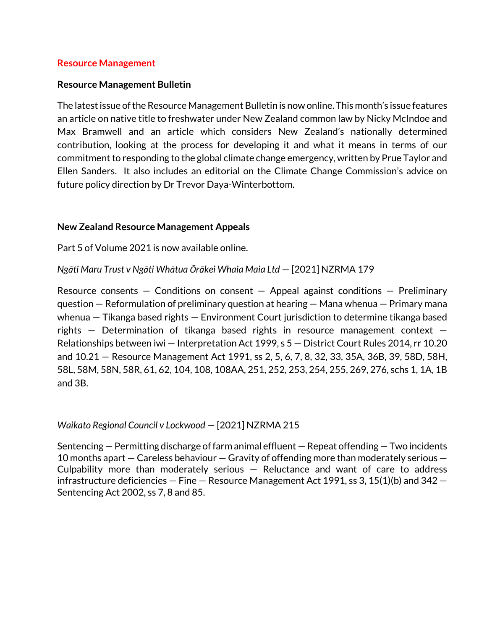#### **Resource Management**

#### **Resource Management Bulletin**

The latestissue of the Resource Management Bulletin is now online. This month's issue features an article on native title to freshwater under New Zealand common law by Nicky McIndoe and Max Bramwell and an article which considers New Zealand's nationally determined contribution, looking at the process for developing it and what it means in terms of our commitment to responding to the global climate change emergency, written by Prue Taylor and Ellen Sanders. It also includes an editorial on the Climate Change Commission's advice on future policy direction by Dr Trevor Daya-Winterbottom.

#### **New Zealand Resource Management Appeals**

Part 5 of Volume 2021 is now available online.

*Ngāti Maru Trust v Ngāti Whātua Ōrākei Whaia Maia Ltd* — [2021] NZRMA 179

Resource consents  $-$  Conditions on consent  $-$  Appeal against conditions  $-$  Preliminary question — Reformulation of preliminary question at hearing — Mana whenua — Primary mana whenua — Tikanga based rights — Environment Court jurisdiction to determine tikanga based rights — Determination of tikanga based rights in resource management context — Relationships between iwi — Interpretation Act 1999, s 5 — District Court Rules 2014, rr 10.20 and 10.21 — Resource Management Act 1991, ss 2, 5, 6, 7, 8, 32, 33, 35A, 36B, 39, 58D, 58H, 58L, 58M, 58N, 58R, 61, 62, 104, 108, 108AA, 251, 252, 253, 254, 255, 269, 276, schs 1, 1A, 1B and 3B.

#### *Waikato Regional Council v Lockwood* — [2021] NZRMA 215

Sentencing — Permitting discharge of farm animal effluent — Repeat offending — Two incidents 10 months apart — Careless behaviour — Gravity of offending more than moderately serious — Culpability more than moderately serious  $-$  Reluctance and want of care to address infrastructure deficiencies  $-$  Fine  $-$  Resource Management Act 1991, ss 3, 15(1)(b) and 342  $-$ Sentencing Act 2002, ss 7, 8 and 85.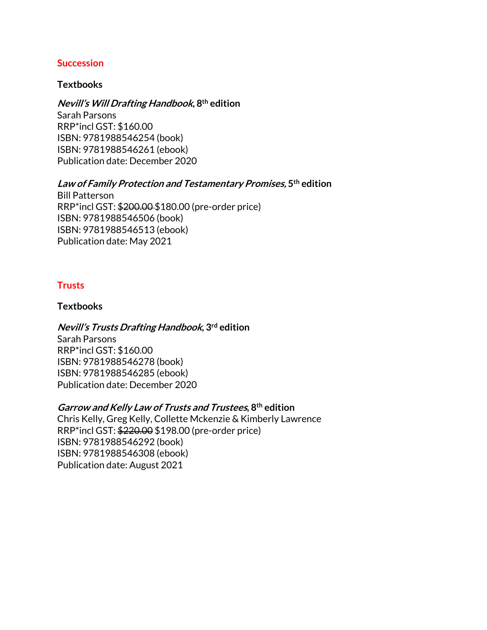### **Succession**

#### **Textbooks**

**Nevill's Will Drafting Handbook, 8th edition**

Sarah Parsons RRP\*incl GST: \$160.00 ISBN: 9781988546254 (book) ISBN: 9781988546261 (ebook) Publication date: December 2020

# **Law of Family Protection and Testamentary Promises, 5th edition**

Bill Patterson RRP\*incl GST: \$200.00 \$180.00 (pre-order price) ISBN: 9781988546506 (book) ISBN: 9781988546513 (ebook) Publication date: May 2021

# **Trusts**

#### **Textbooks**

# **Nevill's Trusts Drafting Handbook, 3rd edition**

Sarah Parsons RRP\*incl GST: \$160.00 ISBN: 9781988546278 (book) ISBN: 9781988546285 (ebook) Publication date: December 2020

#### **Garrow and Kelly Law of Trusts and Trustees, 8th edition**

Chris Kelly, Greg Kelly, Collette Mckenzie & Kimberly Lawrence RRP\*incl GST: \$220.00 \$198.00 (pre-order price) ISBN: 9781988546292 (book) ISBN: 9781988546308 (ebook) Publication date: August 2021